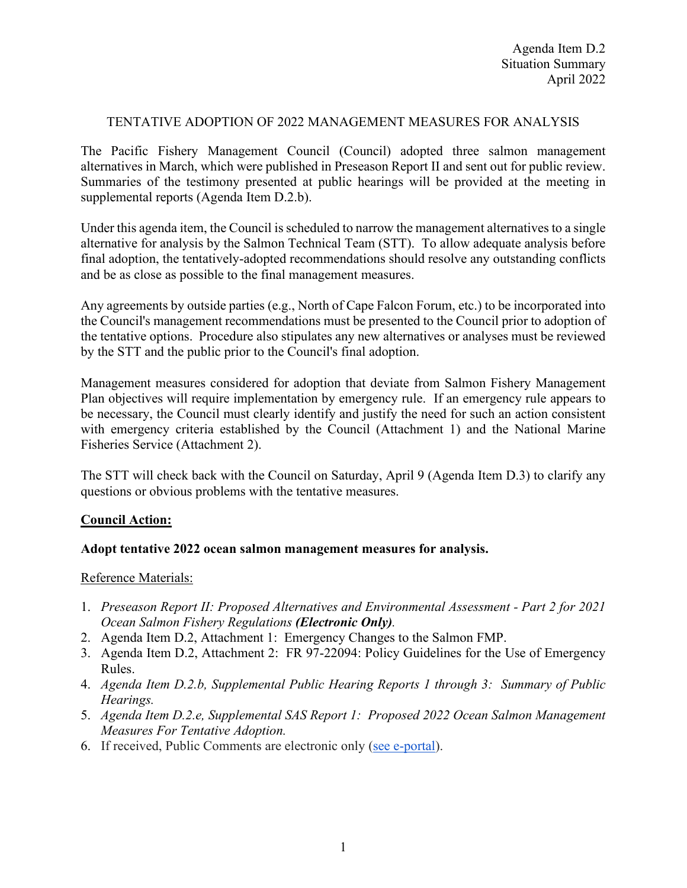# TENTATIVE ADOPTION OF 2022 MANAGEMENT MEASURES FOR ANALYSIS

The Pacific Fishery Management Council (Council) adopted three salmon management alternatives in March, which were published in Preseason Report II and sent out for public review. Summaries of the testimony presented at public hearings will be provided at the meeting in supplemental reports (Agenda Item D.2.b).

Under this agenda item, the Council is scheduled to narrow the management alternatives to a single alternative for analysis by the Salmon Technical Team (STT). To allow adequate analysis before final adoption, the tentatively-adopted recommendations should resolve any outstanding conflicts and be as close as possible to the final management measures.

Any agreements by outside parties (e.g., North of Cape Falcon Forum, etc.) to be incorporated into the Council's management recommendations must be presented to the Council prior to adoption of the tentative options. Procedure also stipulates any new alternatives or analyses must be reviewed by the STT and the public prior to the Council's final adoption.

Management measures considered for adoption that deviate from Salmon Fishery Management Plan objectives will require implementation by emergency rule. If an emergency rule appears to be necessary, the Council must clearly identify and justify the need for such an action consistent with emergency criteria established by the Council (Attachment 1) and the National Marine Fisheries Service (Attachment 2).

The STT will check back with the Council on Saturday, April 9 (Agenda Item D.3) to clarify any questions or obvious problems with the tentative measures.

# **Council Action:**

# **Adopt tentative 2022 ocean salmon management measures for analysis.**

# Reference Materials:

- 1. *Preseason Report II: Proposed Alternatives and Environmental Assessment - Part 2 for 2021 Ocean Salmon Fishery Regulations (Electronic Only).*
- 2. Agenda Item D.2, Attachment 1: Emergency Changes to the Salmon FMP.
- 3. Agenda Item D.2, Attachment 2: FR 97-22094: Policy Guidelines for the Use of Emergency Rules.
- 4. *Agenda Item D.2.b, Supplemental Public Hearing Reports 1 through 3: Summary of Public Hearings.*
- 5. *Agenda Item D.2.e, Supplemental SAS Report 1: Proposed 2022 Ocean Salmon Management Measures For Tentative Adoption.*
- 6. If received, Public Comments are electronic only [\(see e-portal\)](https://pfmc.psmfc.org/).